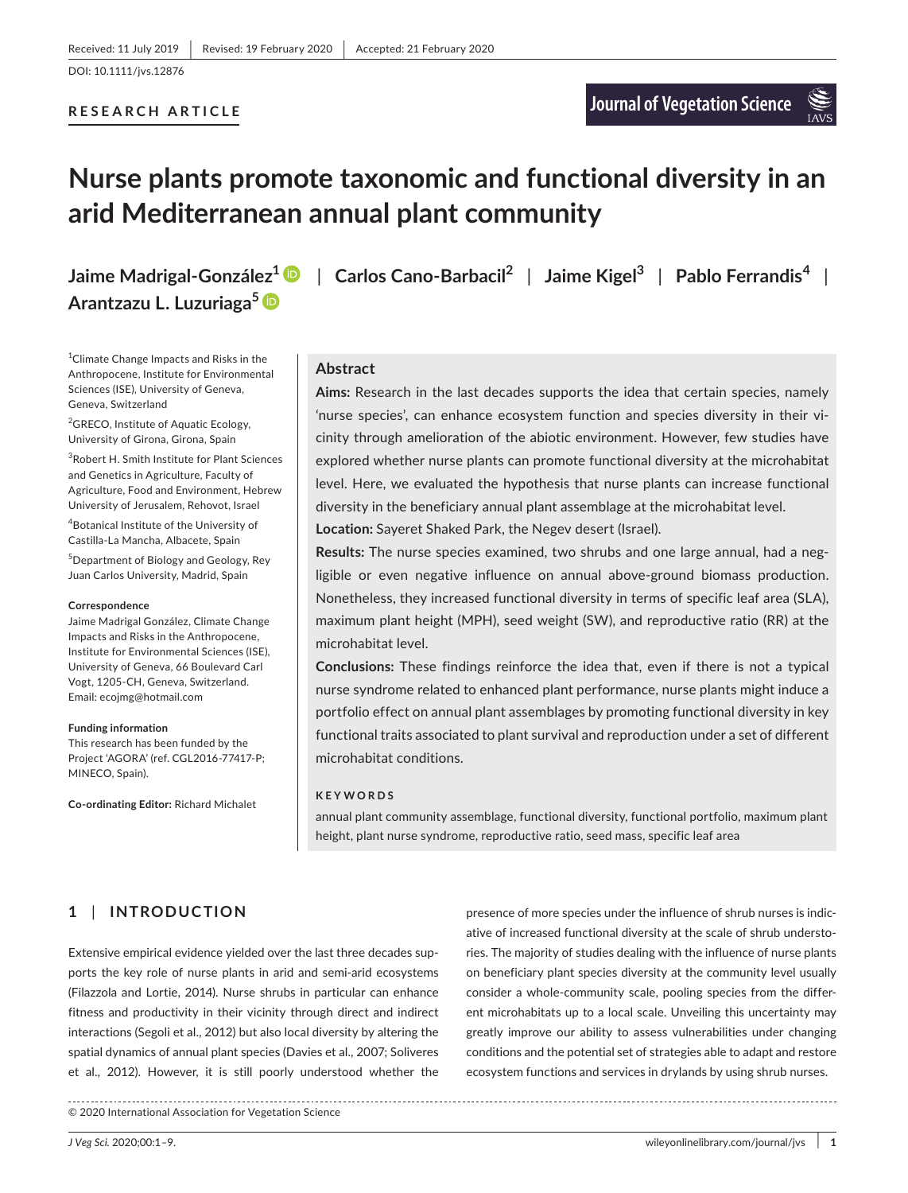# **RESEARCH ARTICLE**

# **Nurse plants promote taxonomic and functional diversity in an arid Mediterranean annual plant community**

# **Arantzazu L. Luzuriaga<sup>5</sup>**

1 Climate Change Impacts and Risks in the Anthropocene, Institute for Environmental Sciences (ISE), University of Geneva, Geneva, Switzerland

<sup>2</sup>GRECO, Institute of Aquatic Ecology, University of Girona, Girona, Spain

3 Robert H. Smith Institute for Plant Sciences and Genetics in Agriculture, Faculty of Agriculture, Food and Environment, Hebrew University of Jerusalem, Rehovot, Israel 4 Botanical Institute of the University of Castilla-La Mancha, Albacete, Spain

5 Department of Biology and Geology, Rey Juan Carlos University, Madrid, Spain

#### **Correspondence**

Jaime Madrigal González, Climate Change Impacts and Risks in the Anthropocene, Institute for Environmental Sciences (ISE), University of Geneva, 66 Boulevard Carl Vogt, 1205-CH, Geneva, Switzerland. Email: [ecojmg@hotmail.com](mailto:ecojmg@hotmail.com)

#### **Funding information**

This research has been funded by the Project 'AGORA' (ref. CGL2016-77417-P; MINECO, Spain).

**Co-ordinating Editor:** Richard Michalet

**Jaime Madrigal-González1** | **Carlos Cano-Barbacil<sup>2</sup>** | **Jaime Kigel<sup>3</sup>** | **Pablo Ferrandis<sup>4</sup>** |

# **Abstract**

**Aims:** Research in the last decades supports the idea that certain species, namely 'nurse species', can enhance ecosystem function and species diversity in their vicinity through amelioration of the abiotic environment. However, few studies have explored whether nurse plants can promote functional diversity at the microhabitat level. Here, we evaluated the hypothesis that nurse plants can increase functional diversity in the beneficiary annual plant assemblage at the microhabitat level.

**Location:** Sayeret Shaked Park, the Negev desert (Israel).

**Results:** The nurse species examined, two shrubs and one large annual, had a negligible or even negative influence on annual above-ground biomass production. Nonetheless, they increased functional diversity in terms of specific leaf area (SLA), maximum plant height (MPH), seed weight (SW), and reproductive ratio (RR) at the microhabitat level.

**Conclusions:** These findings reinforce the idea that, even if there is not a typical nurse syndrome related to enhanced plant performance, nurse plants might induce a portfolio effect on annual plant assemblages by promoting functional diversity in key functional traits associated to plant survival and reproduction under a set of different microhabitat conditions.

### **KEYWORDS**

annual plant community assemblage, functional diversity, functional portfolio, maximum plant height, plant nurse syndrome, reproductive ratio, seed mass, specific leaf area

# **1** | **INTRODUCTION**

Extensive empirical evidence yielded over the last three decades supports the key role of nurse plants in arid and semi-arid ecosystems (Filazzola and Lortie, 2014). Nurse shrubs in particular can enhance fitness and productivity in their vicinity through direct and indirect interactions (Segoli et al., 2012) but also local diversity by altering the spatial dynamics of annual plant species (Davies et al., 2007; Soliveres et al., 2012). However, it is still poorly understood whether the

presence of more species under the influence of shrub nurses is indicative of increased functional diversity at the scale of shrub understories. The majority of studies dealing with the influence of nurse plants on beneficiary plant species diversity at the community level usually consider a whole-community scale, pooling species from the different microhabitats up to a local scale. Unveiling this uncertainty may greatly improve our ability to assess vulnerabilities under changing conditions and the potential set of strategies able to adapt and restore ecosystem functions and services in drylands by using shrub nurses.

© 2020 International Association for Vegetation Science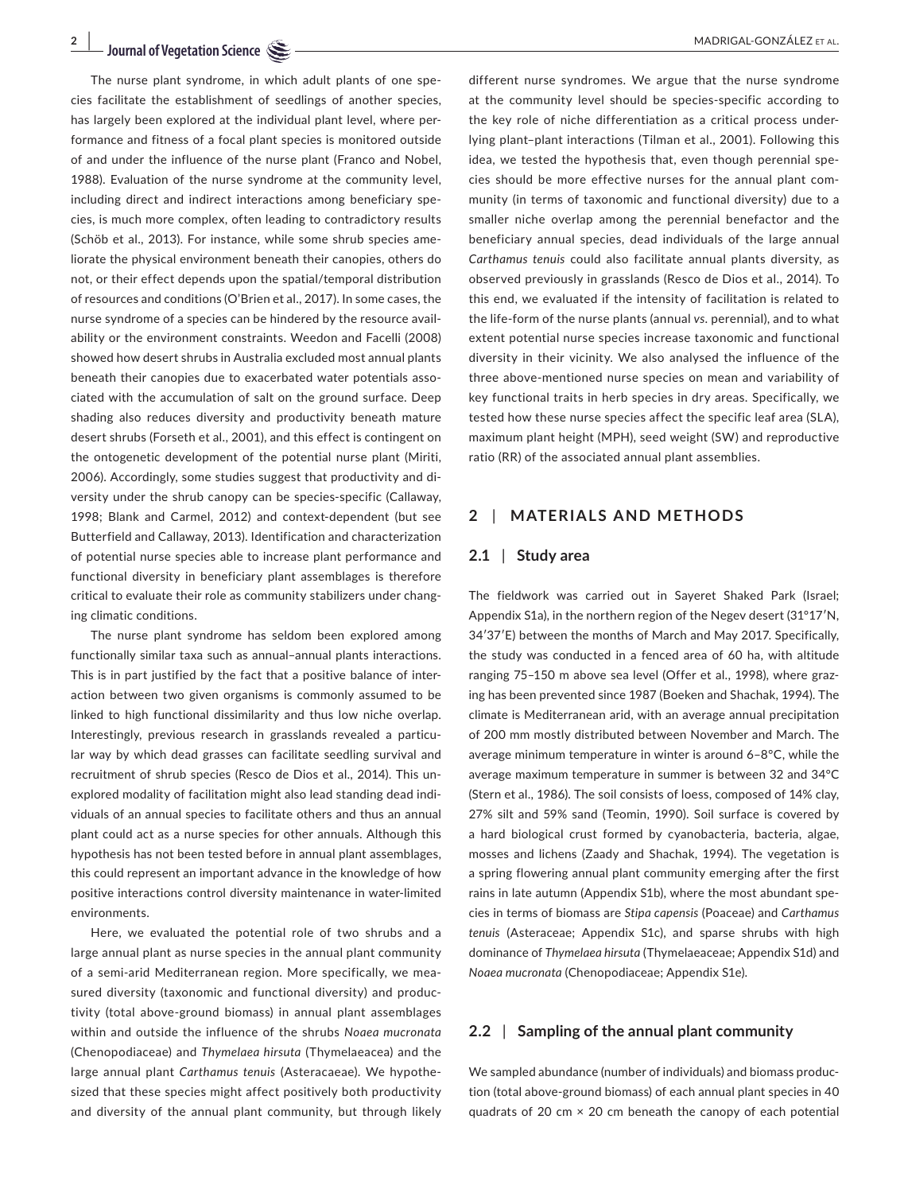The nurse plant syndrome, in which adult plants of one species facilitate the establishment of seedlings of another species, has largely been explored at the individual plant level, where performance and fitness of a focal plant species is monitored outside of and under the influence of the nurse plant (Franco and Nobel, 1988). Evaluation of the nurse syndrome at the community level, including direct and indirect interactions among beneficiary species, is much more complex, often leading to contradictory results (Schöb et al., 2013). For instance, while some shrub species ameliorate the physical environment beneath their canopies, others do not, or their effect depends upon the spatial/temporal distribution of resources and conditions (O'Brien et al., 2017). In some cases, the nurse syndrome of a species can be hindered by the resource availability or the environment constraints. Weedon and Facelli (2008) showed how desert shrubs in Australia excluded most annual plants beneath their canopies due to exacerbated water potentials associated with the accumulation of salt on the ground surface. Deep shading also reduces diversity and productivity beneath mature desert shrubs (Forseth et al., 2001), and this effect is contingent on the ontogenetic development of the potential nurse plant (Miriti, 2006). Accordingly, some studies suggest that productivity and diversity under the shrub canopy can be species-specific (Callaway, 1998; Blank and Carmel, 2012) and context-dependent (but see Butterfield and Callaway, 2013). Identification and characterization of potential nurse species able to increase plant performance and functional diversity in beneficiary plant assemblages is therefore critical to evaluate their role as community stabilizers under changing climatic conditions.

The nurse plant syndrome has seldom been explored among functionally similar taxa such as annual–annual plants interactions. This is in part justified by the fact that a positive balance of interaction between two given organisms is commonly assumed to be linked to high functional dissimilarity and thus low niche overlap. Interestingly, previous research in grasslands revealed a particular way by which dead grasses can facilitate seedling survival and recruitment of shrub species (Resco de Dios et al., 2014). This unexplored modality of facilitation might also lead standing dead individuals of an annual species to facilitate others and thus an annual plant could act as a nurse species for other annuals. Although this hypothesis has not been tested before in annual plant assemblages, this could represent an important advance in the knowledge of how positive interactions control diversity maintenance in water-limited environments.

Here, we evaluated the potential role of two shrubs and a large annual plant as nurse species in the annual plant community of a semi-arid Mediterranean region. More specifically, we measured diversity (taxonomic and functional diversity) and productivity (total above-ground biomass) in annual plant assemblages within and outside the influence of the shrubs *Noaea mucronata* (Chenopodiaceae) and *Thymelaea hirsuta* (Thymelaeacea) and the large annual plant *Carthamus tenuis* (Asteracaeae). We hypothesized that these species might affect positively both productivity and diversity of the annual plant community, but through likely

different nurse syndromes. We argue that the nurse syndrome at the community level should be species-specific according to the key role of niche differentiation as a critical process underlying plant–plant interactions (Tilman et al., 2001). Following this idea, we tested the hypothesis that, even though perennial species should be more effective nurses for the annual plant community (in terms of taxonomic and functional diversity) due to a smaller niche overlap among the perennial benefactor and the beneficiary annual species, dead individuals of the large annual *Carthamus tenuis* could also facilitate annual plants diversity, as observed previously in grasslands (Resco de Dios et al., 2014). To this end, we evaluated if the intensity of facilitation is related to the life-form of the nurse plants (annual *vs*. perennial), and to what extent potential nurse species increase taxonomic and functional diversity in their vicinity. We also analysed the influence of the three above-mentioned nurse species on mean and variability of key functional traits in herb species in dry areas. Specifically, we tested how these nurse species affect the specific leaf area (SLA), maximum plant height (MPH), seed weight (SW) and reproductive ratio (RR) of the associated annual plant assemblies.

# **2** | **MATERIALS AND METHODS**

# **2.1** | **Study area**

The fieldwork was carried out in Sayeret Shaked Park (Israel; Appendix S1a), in the northern region of the Negev desert (31°17′N, 34′37′E) between the months of March and May 2017. Specifically, the study was conducted in a fenced area of 60 ha, with altitude ranging 75–150 m above sea level (Offer et al., 1998), where grazing has been prevented since 1987 (Boeken and Shachak, 1994). The climate is Mediterranean arid, with an average annual precipitation of 200 mm mostly distributed between November and March. The average minimum temperature in winter is around 6–8°C, while the average maximum temperature in summer is between 32 and 34°C (Stern et al., 1986). The soil consists of loess, composed of 14% clay, 27% silt and 59% sand (Teomin, 1990). Soil surface is covered by a hard biological crust formed by cyanobacteria, bacteria, algae, mosses and lichens (Zaady and Shachak, 1994). The vegetation is a spring flowering annual plant community emerging after the first rains in late autumn (Appendix S1b), where the most abundant species in terms of biomass are *Stipa capensis* (Poaceae) and *Carthamus tenuis* (Asteraceae; Appendix S1c), and sparse shrubs with high dominance of *Thymelaea hirsuta* (Thymelaeaceae; Appendix S1d) and *Noaea mucronata* (Chenopodiaceae; Appendix S1e).

# **2.2** | **Sampling of the annual plant community**

We sampled abundance (number of individuals) and biomass production (total above-ground biomass) of each annual plant species in 40 quadrats of 20 cm  $\times$  20 cm beneath the canopy of each potential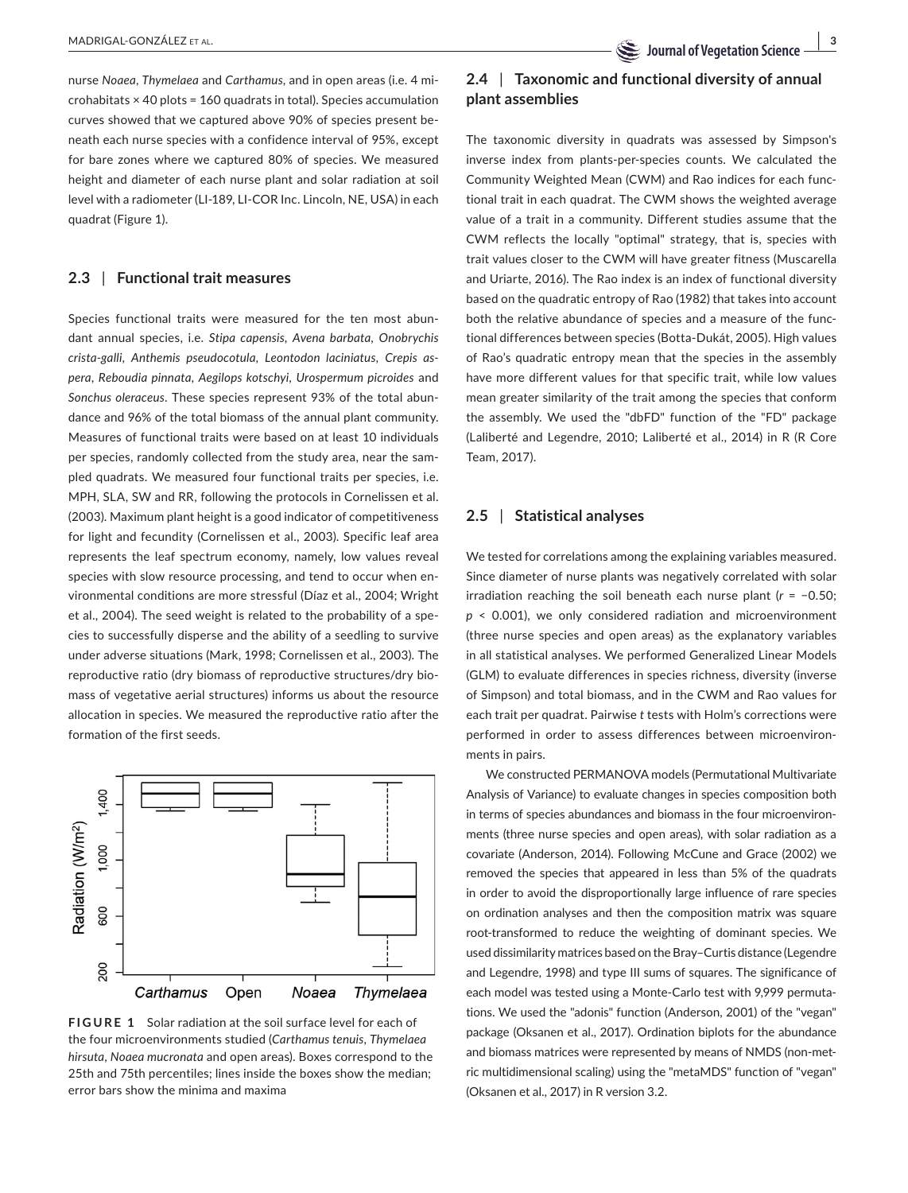nurse *Noaea*, *Thymelaea* and *Carthamus*, and in open areas (i.e. 4 microhabitats × 40 plots = 160 quadrats in total). Species accumulation curves showed that we captured above 90% of species present beneath each nurse species with a confidence interval of 95%, except for bare zones where we captured 80% of species. We measured height and diameter of each nurse plant and solar radiation at soil level with a radiometer (LI-189, LI-COR Inc. Lincoln, NE, USA) in each quadrat (Figure 1).

# **2.3** | **Functional trait measures**

Species functional traits were measured for the ten most abundant annual species, i.e. *Stipa capensis*, *Avena barbata*, *Onobrychis crista-galli*, *Anthemis pseudocotula*, *Leontodon laciniatus*, *Crepis aspera*, *Reboudia pinnata*, *Aegilops kotschyi*, *Urospermum picroides* and *Sonchus oleraceus*. These species represent 93% of the total abundance and 96% of the total biomass of the annual plant community. Measures of functional traits were based on at least 10 individuals per species, randomly collected from the study area, near the sampled quadrats. We measured four functional traits per species, i.e. MPH, SLA, SW and RR, following the protocols in Cornelissen et al. (2003). Maximum plant height is a good indicator of competitiveness for light and fecundity (Cornelissen et al., 2003). Specific leaf area represents the leaf spectrum economy, namely, low values reveal species with slow resource processing, and tend to occur when environmental conditions are more stressful (Díaz et al., 2004; Wright et al., 2004). The seed weight is related to the probability of a species to successfully disperse and the ability of a seedling to survive under adverse situations (Mark, 1998; Cornelissen et al., 2003). The reproductive ratio (dry biomass of reproductive structures/dry biomass of vegetative aerial structures) informs us about the resource allocation in species. We measured the reproductive ratio after the formation of the first seeds.



**FIGURE 1** Solar radiation at the soil surface level for each of the four microenvironments studied (*Carthamus tenuis*, *Thymelaea hirsuta*, *Noaea mucronata* and open areas). Boxes correspond to the 25th and 75th percentiles; lines inside the boxes show the median; error bars show the minima and maxima

# **2.4** | **Taxonomic and functional diversity of annual plant assemblies**

The taxonomic diversity in quadrats was assessed by Simpson's inverse index from plants-per-species counts. We calculated the Community Weighted Mean (CWM) and Rao indices for each functional trait in each quadrat. The CWM shows the weighted average value of a trait in a community. Different studies assume that the CWM reflects the locally "optimal" strategy, that is, species with trait values closer to the CWM will have greater fitness (Muscarella and Uriarte, 2016). The Rao index is an index of functional diversity based on the quadratic entropy of Rao (1982) that takes into account both the relative abundance of species and a measure of the functional differences between species (Botta-Dukát, 2005). High values of Rao's quadratic entropy mean that the species in the assembly have more different values for that specific trait, while low values mean greater similarity of the trait among the species that conform the assembly. We used the "dbFD" function of the "FD" package (Laliberté and Legendre, 2010; Laliberté et al., 2014) in R (R Core Team, 2017).

# **2.5** | **Statistical analyses**

We tested for correlations among the explaining variables measured. Since diameter of nurse plants was negatively correlated with solar irradiation reaching the soil beneath each nurse plant (*r* = −0.50; *p* < 0.001), we only considered radiation and microenvironment (three nurse species and open areas) as the explanatory variables in all statistical analyses. We performed Generalized Linear Models (GLM) to evaluate differences in species richness, diversity (inverse of Simpson) and total biomass, and in the CWM and Rao values for each trait per quadrat. Pairwise *t* tests with Holm's corrections were performed in order to assess differences between microenvironments in pairs.

We constructed PERMANOVA models (Permutational Multivariate Analysis of Variance) to evaluate changes in species composition both in terms of species abundances and biomass in the four microenvironments (three nurse species and open areas), with solar radiation as a covariate (Anderson, 2014). Following McCune and Grace (2002) we removed the species that appeared in less than 5% of the quadrats in order to avoid the disproportionally large influence of rare species on ordination analyses and then the composition matrix was square root-transformed to reduce the weighting of dominant species. We used dissimilarity matrices based on the Bray–Curtis distance (Legendre and Legendre, 1998) and type III sums of squares. The significance of each model was tested using a Monte-Carlo test with 9,999 permutations. We used the "adonis" function (Anderson, 2001) of the "vegan" package (Oksanen et al., 2017). Ordination biplots for the abundance and biomass matrices were represented by means of NMDS (non-metric multidimensional scaling) using the "metaMDS" function of "vegan" (Oksanen et al., 2017) in R version 3.2.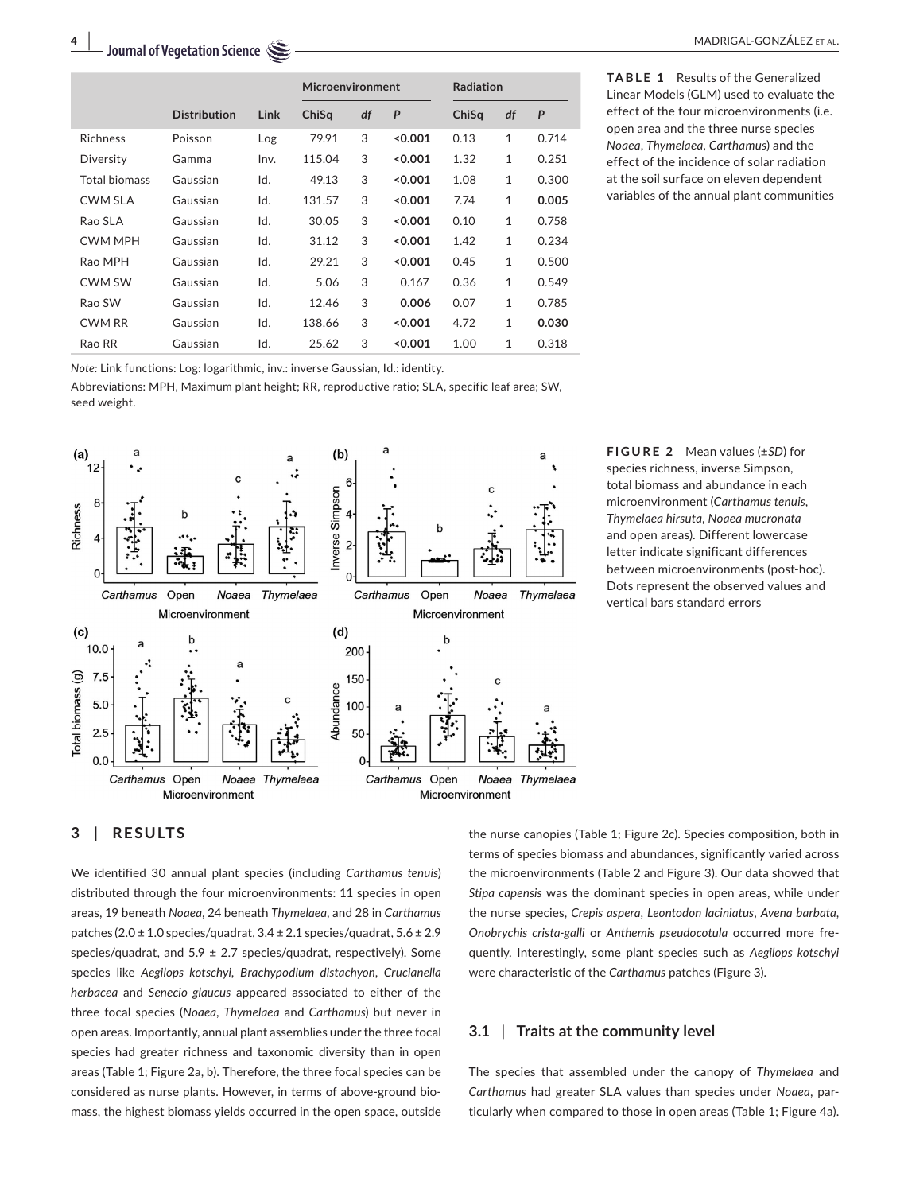|                 |                     |      | Microenvironment |    |       | <b>Radiation</b> |              |       |
|-----------------|---------------------|------|------------------|----|-------|------------------|--------------|-------|
|                 | <b>Distribution</b> | Link | ChiSq            | df | P     | ChiSq            | df           | P     |
| <b>Richness</b> | Poisson             | Log  | 79.91            | 3  | 0.001 | 0.13             | $\mathbf{1}$ | 0.714 |
| Diversity       | Gamma               | Inv. | 115.04           | 3  | 0.001 | 1.32             | 1            | 0.251 |
| Total biomass   | Gaussian            | Id.  | 49.13            | 3  | 0.001 | 1.08             | 1            | 0.300 |
| CWM SLA         | Gaussian            | Id.  | 131.57           | 3  | 0.001 | 7.74             | 1            | 0.005 |
| Rao SLA         | Gaussian            | Id.  | 30.05            | 3  | 0.001 | 0.10             | 1            | 0.758 |
| <b>CWM MPH</b>  | Gaussian            | Id.  | 31.12            | 3  | 0.001 | 1.42             | $\mathbf{1}$ | 0.234 |
| Rao MPH         | Gaussian            | Id.  | 29.21            | 3  | 0.001 | 0.45             | $\mathbf{1}$ | 0.500 |
| <b>CWM SW</b>   | Gaussian            | Id.  | 5.06             | 3  | 0.167 | 0.36             | $\mathbf{1}$ | 0.549 |
| Rao SW          | Gaussian            | Id.  | 12.46            | 3  | 0.006 | 0.07             | 1            | 0.785 |
| <b>CWM RR</b>   | Gaussian            | Id.  | 138.66           | 3  | 0.001 | 4.72             | $\mathbf{1}$ | 0.030 |
| Rao RR          | Gaussian            | Id.  | 25.62            | 3  | 0.001 | 1.00             | 1            | 0.318 |

*Note:* Link functions: Log: logarithmic, inv.: inverse Gaussian, Id.: identity.

Abbreviations: MPH, Maximum plant height; RR, reproductive ratio; SLA, specific leaf area; SW, seed weight.



**TABLE 1** Results of the Generalized Linear Models (GLM) used to evaluate the effect of the four microenvironments (i.e. open area and the three nurse species *Noaea*, *Thymelaea*, *Carthamus*) and the effect of the incidence of solar radiation at the soil surface on eleven dependent variables of the annual plant communities

**FIGURE 2** Mean values (±*SD*) for species richness, inverse Simpson, total biomass and abundance in each microenvironment (*Carthamus tenuis, Thymelaea hirsuta, Noaea mucronata* and open areas). Different lowercase letter indicate significant differences between microenvironments (post-hoc). Dots represent the observed values and vertical bars standard errors

# **3** | **RESULTS**

We identified 30 annual plant species (including *Carthamus tenuis*) distributed through the four microenvironments: 11 species in open areas, 19 beneath *Noaea*, 24 beneath *Thymelaea*, and 28 in *Carthamus* patches (2.0 ± 1.0 species/quadrat, 3.4 ± 2.1 species/quadrat, 5.6 ± 2.9 species/quadrat, and  $5.9 \pm 2.7$  species/quadrat, respectively). Some species like *Aegilops kotschyi*, *Brachypodium distachyon, Crucianella herbacea* and *Senecio glaucus* appeared associated to either of the three focal species (*Noaea*, *Thymelaea* and *Carthamus*) but never in open areas. Importantly, annual plant assemblies under the three focal species had greater richness and taxonomic diversity than in open areas (Table 1; Figure 2a, b). Therefore, the three focal species can be considered as nurse plants. However, in terms of above-ground biomass, the highest biomass yields occurred in the open space, outside

the nurse canopies (Table 1; Figure 2c). Species composition, both in terms of species biomass and abundances, significantly varied across the microenvironments (Table 2 and Figure 3). Our data showed that *Stipa capensis* was the dominant species in open areas, while under the nurse species, *Crepis aspera*, *Leontodon laciniatus*, *Avena barbata*, *Onobrychis crista-galli* or *Anthemis pseudocotula* occurred more frequently. Interestingly, some plant species such as *Aegilops kotschyi* were characteristic of the *Carthamus* patches (Figure 3).

# **3.1** | **Traits at the community level**

The species that assembled under the canopy of *Thymelaea* and *Carthamus* had greater SLA values than species under *Noaea*, particularly when compared to those in open areas (Table 1; Figure 4a).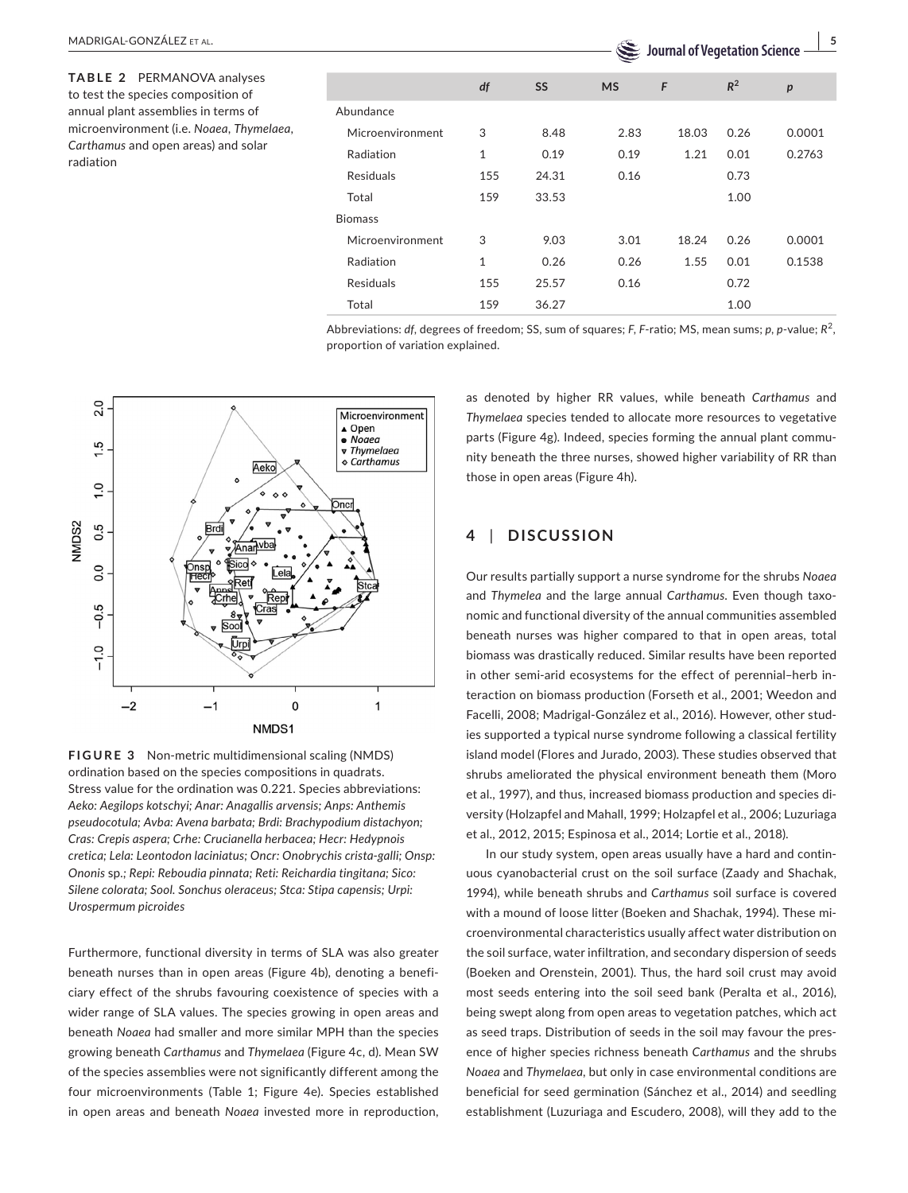**TABLE 2** PERMANOVA analyses to test the species composition of annual plant assemblies in terms of microenvironment (i.e. *Noaea*, *Thymelaea*, *Carthamus* and open areas) and solar radiation

|                  |              |       | $\tilde{}$<br>-------<br>--- |       |       |        |  |
|------------------|--------------|-------|------------------------------|-------|-------|--------|--|
|                  | df           | SS    | <b>MS</b>                    | F     | $R^2$ | p      |  |
| Abundance        |              |       |                              |       |       |        |  |
| Microenvironment | 3            | 8.48  | 2.83                         | 18.03 | 0.26  | 0.0001 |  |
| Radiation        | 1            | 0.19  | 0.19                         | 1.21  | 0.01  | 0.2763 |  |
| <b>Residuals</b> | 155          | 24.31 | 0.16                         |       | 0.73  |        |  |
| Total            | 159          | 33.53 |                              |       | 1.00  |        |  |
| <b>Biomass</b>   |              |       |                              |       |       |        |  |
| Microenvironment | 3            | 9.03  | 3.01                         | 18.24 | 0.26  | 0.0001 |  |
| Radiation        | $\mathbf{1}$ | 0.26  | 0.26                         | 1.55  | 0.01  | 0.1538 |  |
| <b>Residuals</b> | 155          | 25.57 | 0.16                         |       | 0.72  |        |  |
| Total            | 159          | 36.27 |                              |       | 1.00  |        |  |

Abbreviations: *df*, degrees of freedom; SS, sum of squares; *F*, *F*-ratio; MS, mean sums; *p*, *p*-value; *R*<sup>2</sup> , proportion of variation explained.



**FIGURE 3** Non-metric multidimensional scaling (NMDS) ordination based on the species compositions in quadrats. Stress value for the ordination was 0.221. Species abbreviations: *Aeko: Aegilops kotschyi; Anar: Anagallis arvensis; Anps: Anthemis pseudocotula; Avba: Avena barbata; Brdi: Brachypodium distachyon; Cras: Crepis aspera; Crhe: Crucianella herbacea; Hecr: Hedypnois cretica; Lela: Leontodon laciniatus; Oncr: Onobrychis crista-galli; Onsp: Ononis* sp*.; Repi: Reboudia pinnata; Reti: Reichardia tingitana; Sico: Silene colorata; Sool. Sonchus oleraceus; Stca: Stipa capensis; Urpi: Urospermum picroides*

Furthermore, functional diversity in terms of SLA was also greater beneath nurses than in open areas (Figure 4b), denoting a beneficiary effect of the shrubs favouring coexistence of species with a wider range of SLA values. The species growing in open areas and beneath *Noaea* had smaller and more similar MPH than the species growing beneath *Carthamus* and *Thymelaea* (Figure 4c, d). Mean SW of the species assemblies were not significantly different among the four microenvironments (Table 1; Figure 4e). Species established in open areas and beneath *Noaea* invested more in reproduction,

as denoted by higher RR values, while beneath *Carthamus* and *Thymelaea* species tended to allocate more resources to vegetative parts (Figure 4g). Indeed, species forming the annual plant community beneath the three nurses, showed higher variability of RR than those in open areas (Figure 4h).

# **4** | **DISCUSSION**

Our results partially support a nurse syndrome for the shrubs *Noaea* and *Thymelea* and the large annual *Carthamus*. Even though taxonomic and functional diversity of the annual communities assembled beneath nurses was higher compared to that in open areas, total biomass was drastically reduced. Similar results have been reported in other semi-arid ecosystems for the effect of perennial–herb interaction on biomass production (Forseth et al., 2001; Weedon and Facelli, 2008; Madrigal-González et al., 2016). However, other studies supported a typical nurse syndrome following a classical fertility island model (Flores and Jurado, 2003). These studies observed that shrubs ameliorated the physical environment beneath them (Moro et al., 1997), and thus, increased biomass production and species diversity (Holzapfel and Mahall, 1999; Holzapfel et al., 2006; Luzuriaga et al., 2012, 2015; Espinosa et al., 2014; Lortie et al., 2018).

In our study system, open areas usually have a hard and continuous cyanobacterial crust on the soil surface (Zaady and Shachak, 1994), while beneath shrubs and *Carthamus* soil surface is covered with a mound of loose litter (Boeken and Shachak, 1994). These microenvironmental characteristics usually affect water distribution on the soil surface, water infiltration, and secondary dispersion of seeds (Boeken and Orenstein, 2001). Thus, the hard soil crust may avoid most seeds entering into the soil seed bank (Peralta et al., 2016), being swept along from open areas to vegetation patches, which act as seed traps. Distribution of seeds in the soil may favour the presence of higher species richness beneath *Carthamus* and the shrubs *Noaea* and *Thymelaea*, but only in case environmental conditions are beneficial for seed germination (Sánchez et al., 2014) and seedling establishment (Luzuriaga and Escudero, 2008), will they add to the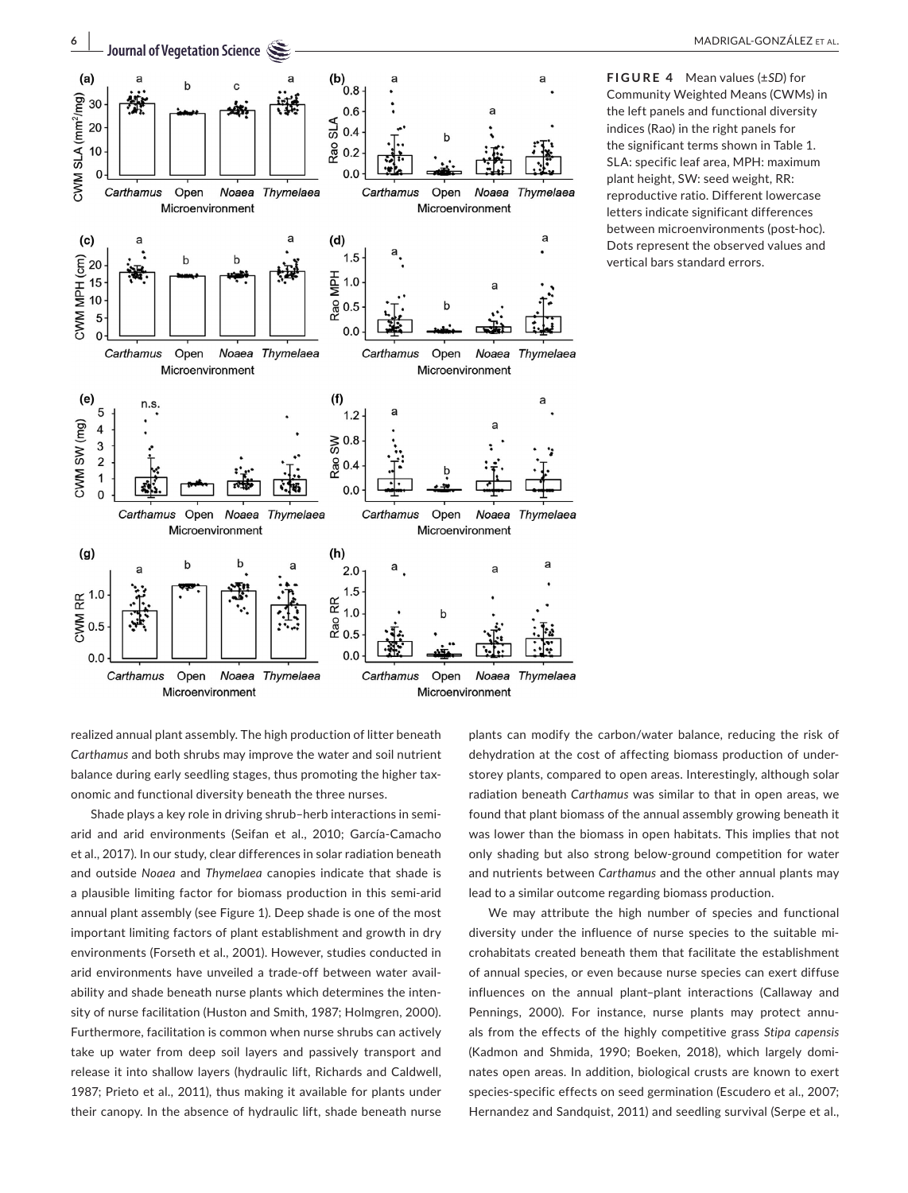

**FIGURE 4** Mean values (±*SD*) for Community Weighted Means (CWMs) in the left panels and functional diversity indices (Rao) in the right panels for the significant terms shown in Table 1. SLA: specific leaf area, MPH: maximum plant height, SW: seed weight, RR: reproductive ratio. Different lowercase letters indicate significant differences between microenvironments (post-hoc). Dots represent the observed values and vertical bars standard errors.

realized annual plant assembly. The high production of litter beneath *Carthamus* and both shrubs may improve the water and soil nutrient balance during early seedling stages, thus promoting the higher taxonomic and functional diversity beneath the three nurses.

Shade plays a key role in driving shrub–herb interactions in semiarid and arid environments (Seifan et al., 2010; García-Camacho et al., 2017). In our study, clear differences in solar radiation beneath and outside *Noaea* and *Thymelaea* canopies indicate that shade is a plausible limiting factor for biomass production in this semi-arid annual plant assembly (see Figure 1). Deep shade is one of the most important limiting factors of plant establishment and growth in dry environments (Forseth et al., 2001). However, studies conducted in arid environments have unveiled a trade-off between water availability and shade beneath nurse plants which determines the intensity of nurse facilitation (Huston and Smith, 1987; Holmgren, 2000). Furthermore, facilitation is common when nurse shrubs can actively take up water from deep soil layers and passively transport and release it into shallow layers (hydraulic lift, Richards and Caldwell, 1987; Prieto et al., 2011), thus making it available for plants under their canopy. In the absence of hydraulic lift, shade beneath nurse

plants can modify the carbon/water balance, reducing the risk of dehydration at the cost of affecting biomass production of understorey plants, compared to open areas. Interestingly, although solar radiation beneath *Carthamus* was similar to that in open areas, we found that plant biomass of the annual assembly growing beneath it was lower than the biomass in open habitats. This implies that not only shading but also strong below-ground competition for water and nutrients between *Carthamus* and the other annual plants may lead to a similar outcome regarding biomass production.

We may attribute the high number of species and functional diversity under the influence of nurse species to the suitable microhabitats created beneath them that facilitate the establishment of annual species, or even because nurse species can exert diffuse influences on the annual plant–plant interactions (Callaway and Pennings, 2000). For instance, nurse plants may protect annuals from the effects of the highly competitive grass *Stipa capensis* (Kadmon and Shmida, 1990; Boeken, 2018), which largely dominates open areas. In addition, biological crusts are known to exert species-specific effects on seed germination (Escudero et al., 2007; Hernandez and Sandquist, 2011) and seedling survival (Serpe et al.,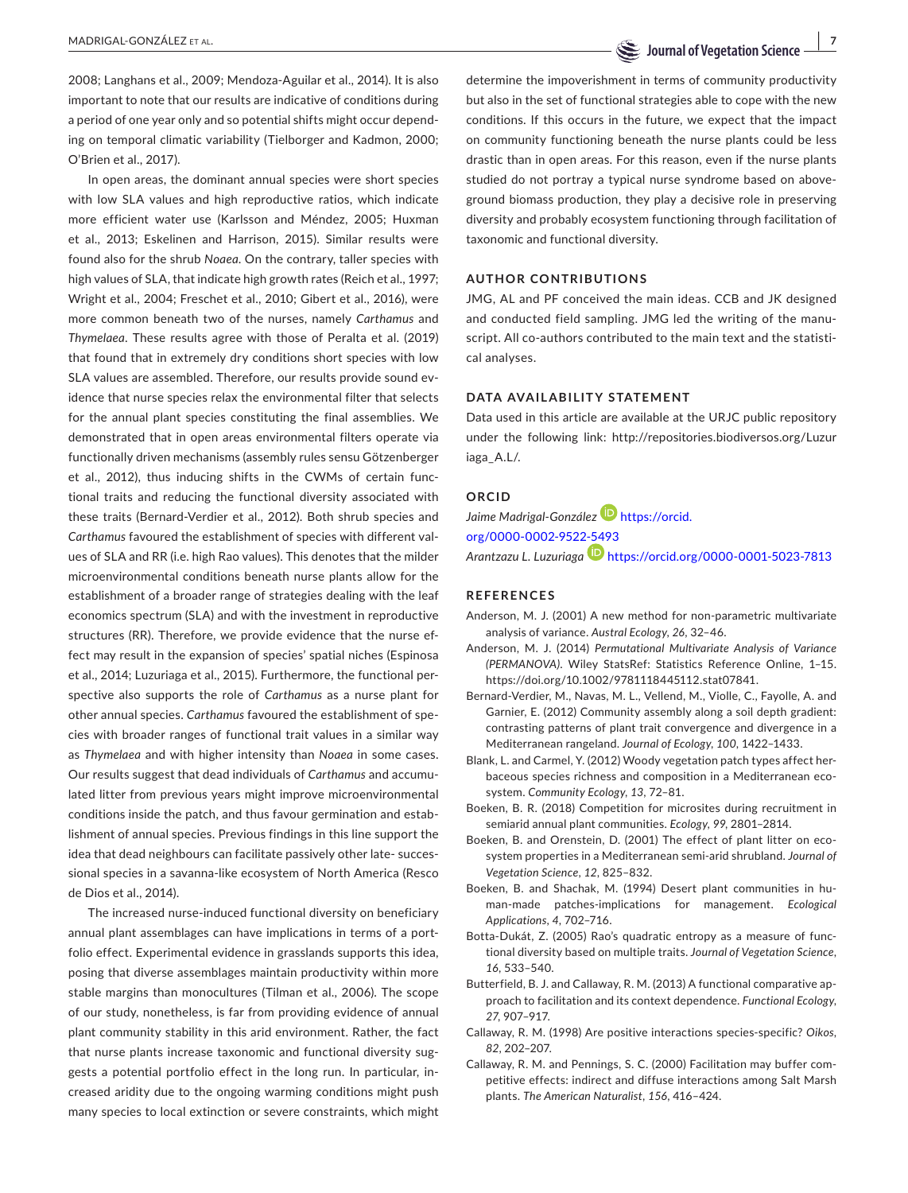**MADRIGAL-GONZÁLEZ ET AL.** 

2008; Langhans et al., 2009; Mendoza-Aguilar et al., 2014). It is also important to note that our results are indicative of conditions during a period of one year only and so potential shifts might occur depending on temporal climatic variability (Tielborger and Kadmon, 2000; O'Brien et al., 2017).

In open areas, the dominant annual species were short species with low SLA values and high reproductive ratios, which indicate more efficient water use (Karlsson and Méndez, 2005; Huxman et al., 2013; Eskelinen and Harrison, 2015). Similar results were found also for the shrub *Noaea*. On the contrary, taller species with high values of SLA, that indicate high growth rates (Reich et al., 1997; Wright et al., 2004; Freschet et al., 2010; Gibert et al., 2016), were more common beneath two of the nurses, namely *Carthamus* and *Thymelaea*. These results agree with those of Peralta et al. (2019) that found that in extremely dry conditions short species with low SLA values are assembled. Therefore, our results provide sound evidence that nurse species relax the environmental filter that selects for the annual plant species constituting the final assemblies. We demonstrated that in open areas environmental filters operate via functionally driven mechanisms (assembly rules sensu Götzenberger et al., 2012), thus inducing shifts in the CWMs of certain functional traits and reducing the functional diversity associated with these traits (Bernard-Verdier et al., 2012). Both shrub species and *Carthamus* favoured the establishment of species with different values of SLA and RR (i.e. high Rao values). This denotes that the milder microenvironmental conditions beneath nurse plants allow for the establishment of a broader range of strategies dealing with the leaf economics spectrum (SLA) and with the investment in reproductive structures (RR). Therefore, we provide evidence that the nurse effect may result in the expansion of species' spatial niches (Espinosa et al., 2014; Luzuriaga et al., 2015). Furthermore, the functional perspective also supports the role of *Carthamus* as a nurse plant for other annual species. *Carthamus* favoured the establishment of species with broader ranges of functional trait values in a similar way as *Thymelaea* and with higher intensity than *Noaea* in some cases. Our results suggest that dead individuals of *Carthamus* and accumulated litter from previous years might improve microenvironmental conditions inside the patch, and thus favour germination and establishment of annual species. Previous findings in this line support the idea that dead neighbours can facilitate passively other late- successional species in a savanna-like ecosystem of North America (Resco de Dios et al., 2014).

The increased nurse-induced functional diversity on beneficiary annual plant assemblages can have implications in terms of a portfolio effect. Experimental evidence in grasslands supports this idea, posing that diverse assemblages maintain productivity within more stable margins than monocultures (Tilman et al., 2006). The scope of our study, nonetheless, is far from providing evidence of annual plant community stability in this arid environment. Rather, the fact that nurse plants increase taxonomic and functional diversity suggests a potential portfolio effect in the long run. In particular, increased aridity due to the ongoing warming conditions might push many species to local extinction or severe constraints, which might

determine the impoverishment in terms of community productivity but also in the set of functional strategies able to cope with the new conditions. If this occurs in the future, we expect that the impact on community functioning beneath the nurse plants could be less drastic than in open areas. For this reason, even if the nurse plants studied do not portray a typical nurse syndrome based on aboveground biomass production, they play a decisive role in preserving diversity and probably ecosystem functioning through facilitation of taxonomic and functional diversity.

## **AUTHOR CONTRIBUTIONS**

JMG, AL and PF conceived the main ideas. CCB and JK designed and conducted field sampling. JMG led the writing of the manuscript. All co-authors contributed to the main text and the statistical analyses.

# **DATA AVAILABILITY STATEMENT**

Data used in this article are available at the URJC public repository under the following link: [http://repositories.biodiversos.org/Luzur](http://repositories.biodiversos.org/Luzuriaga_A.L/) [iaga\\_A.L/.](http://repositories.biodiversos.org/Luzuriaga_A.L/)

### **ORCID**

*Jaime Madrigal-González* [https://orcid.](https://orcid.org/0000-0002-9522-5493) [org/0000-0002-9522-5493](https://orcid.org/0000-0002-9522-5493) *Arantzazu L. Luzuriaga* <https://orcid.org/0000-0001-5023-7813>

# **REFERENCES**

- Anderson, M. J. (2001) A new method for non-parametric multivariate analysis of variance. *Austral Ecology*, *26*, 32–46.
- Anderson, M. J. (2014) *Permutational Multivariate Analysis of Variance (PERMANOVA)*. Wiley StatsRef: Statistics Reference Online, 1–15. [https://doi.org/10.1002/9781118445112.stat07841.](https://doi.org/10.1002/9781118445112.stat07841)
- Bernard-Verdier, M., Navas, M. L., Vellend, M., Violle, C., Fayolle, A. and Garnier, E. (2012) Community assembly along a soil depth gradient: contrasting patterns of plant trait convergence and divergence in a Mediterranean rangeland. *Journal of Ecology*, *100*, 1422–1433.
- Blank, L. and Carmel, Y. (2012) Woody vegetation patch types affect herbaceous species richness and composition in a Mediterranean ecosystem. *Community Ecology*, *13*, 72–81.
- Boeken, B. R. (2018) Competition for microsites during recruitment in semiarid annual plant communities. *Ecology*, *99*, 2801–2814.
- Boeken, B. and Orenstein, D. (2001) The effect of plant litter on ecosystem properties in a Mediterranean semi-arid shrubland. *Journal of Vegetation Science*, *12*, 825–832.
- Boeken, B. and Shachak, M. (1994) Desert plant communities in human-made patches-implications for management. *Ecological Applications*, *4*, 702–716.
- Botta-Dukát, Z. (2005) Rao's quadratic entropy as a measure of functional diversity based on multiple traits. *Journal of Vegetation Science*, *16*, 533–540.
- Butterfield, B. J. and Callaway, R. M. (2013) A functional comparative approach to facilitation and its context dependence. *Functional Ecology*, *27*, 907–917.
- Callaway, R. M. (1998) Are positive interactions species-specific? *Oikos*, *82*, 202–207.
- Callaway, R. M. and Pennings, S. C. (2000) Facilitation may buffer competitive effects: indirect and diffuse interactions among Salt Marsh plants. *The American Naturalist*, *156*, 416–424.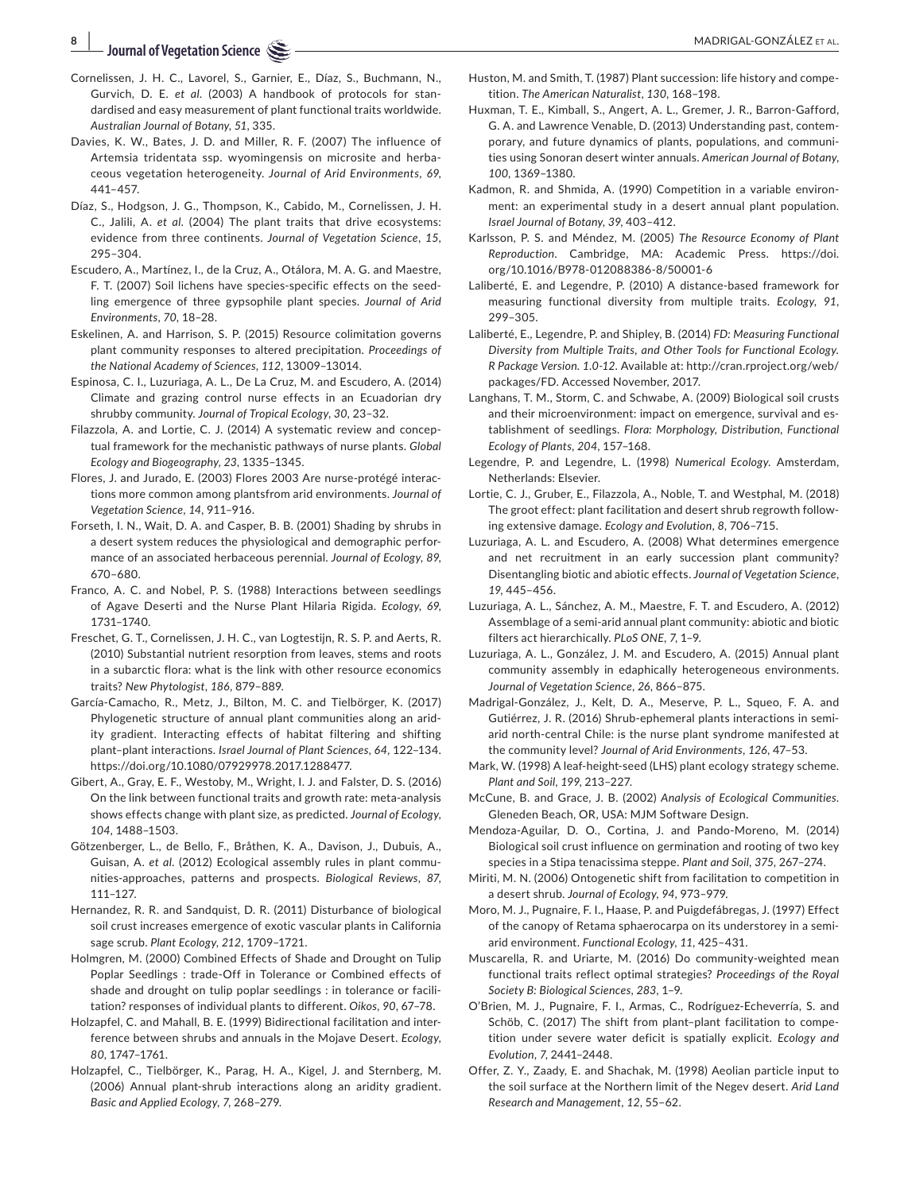**<sup>8</sup><sup>|</sup> Journal of Vegetation Science**

- Cornelissen, J. H. C., Lavorel, S., Garnier, E., Díaz, S., Buchmann, N., Gurvich, D. E. *et al*. (2003) A handbook of protocols for standardised and easy measurement of plant functional traits worldwide. *Australian Journal of Botany*, *51*, 335.
- Davies, K. W., Bates, J. D. and Miller, R. F. (2007) The influence of Artemsia tridentata ssp. wyomingensis on microsite and herbaceous vegetation heterogeneity. *Journal of Arid Environments*, *69*, 441–457.
- Díaz, S., Hodgson, J. G., Thompson, K., Cabido, M., Cornelissen, J. H. C., Jalili, A. *et al*. (2004) The plant traits that drive ecosystems: evidence from three continents. *Journal of Vegetation Science*, *15*, 295–304.
- Escudero, A., Martínez, I., de la Cruz, A., Otálora, M. A. G. and Maestre, F. T. (2007) Soil lichens have species-specific effects on the seedling emergence of three gypsophile plant species. *Journal of Arid Environments*, *70*, 18–28.
- Eskelinen, A. and Harrison, S. P. (2015) Resource colimitation governs plant community responses to altered precipitation. *Proceedings of the National Academy of Sciences*, *112*, 13009–13014.
- Espinosa, C. I., Luzuriaga, A. L., De La Cruz, M. and Escudero, A. (2014) Climate and grazing control nurse effects in an Ecuadorian dry shrubby community. *Journal of Tropical Ecology*, *30*, 23–32.
- Filazzola, A. and Lortie, C. J. (2014) A systematic review and conceptual framework for the mechanistic pathways of nurse plants. *Global Ecology and Biogeography*, *23*, 1335–1345.
- Flores, J. and Jurado, E. (2003) Flores 2003 Are nurse-protégé interactions more common among plantsfrom arid environments. *Journal of Vegetation Science*, *14*, 911–916.
- Forseth, I. N., Wait, D. A. and Casper, B. B. (2001) Shading by shrubs in a desert system reduces the physiological and demographic performance of an associated herbaceous perennial. *Journal of Ecology*, *89*, 670–680.
- Franco, A. C. and Nobel, P. S. (1988) Interactions between seedlings of Agave Deserti and the Nurse Plant Hilaria Rigida. *Ecology*, *69*, 1731–1740.
- Freschet, G. T., Cornelissen, J. H. C., van Logtestijn, R. S. P. and Aerts, R. (2010) Substantial nutrient resorption from leaves, stems and roots in a subarctic flora: what is the link with other resource economics traits? *New Phytologist*, *186*, 879–889.
- García-Camacho, R., Metz, J., Bilton, M. C. and Tielbörger, K. (2017) Phylogenetic structure of annual plant communities along an aridity gradient. Interacting effects of habitat filtering and shifting plant–plant interactions. *Israel Journal of Plant Sciences*, *64*, 122–134. <https://doi.org/10.1080/07929978.2017.1288477>.
- Gibert, A., Gray, E. F., Westoby, M., Wright, I. J. and Falster, D. S. (2016) On the link between functional traits and growth rate: meta-analysis shows effects change with plant size, as predicted. *Journal of Ecology*, *104*, 1488–1503.
- Götzenberger, L., de Bello, F., Bråthen, K. A., Davison, J., Dubuis, A., Guisan, A. *et al*. (2012) Ecological assembly rules in plant communities-approaches, patterns and prospects. *Biological Reviews*, *87*, 111–127.
- Hernandez, R. R. and Sandquist, D. R. (2011) Disturbance of biological soil crust increases emergence of exotic vascular plants in California sage scrub. *Plant Ecology*, *212*, 1709–1721.
- Holmgren, M. (2000) Combined Effects of Shade and Drought on Tulip Poplar Seedlings : trade-Off in Tolerance or Combined effects of shade and drought on tulip poplar seedlings : in tolerance or facilitation? responses of individual plants to different. *Oikos*, *90*, 67–78.
- Holzapfel, C. and Mahall, B. E. (1999) Bidirectional facilitation and interference between shrubs and annuals in the Mojave Desert. *Ecology*, *80*, 1747–1761.
- Holzapfel, C., Tielbörger, K., Parag, H. A., Kigel, J. and Sternberg, M. (2006) Annual plant-shrub interactions along an aridity gradient. *Basic and Applied Ecology*, *7*, 268–279.
- Huston, M. and Smith, T. (1987) Plant succession: life history and competition. *The American Naturalist*, *130*, 168–198.
- Huxman, T. E., Kimball, S., Angert, A. L., Gremer, J. R., Barron-Gafford, G. A. and Lawrence Venable, D. (2013) Understanding past, contemporary, and future dynamics of plants, populations, and communities using Sonoran desert winter annuals. *American Journal of Botany*, *100*, 1369–1380.
- Kadmon, R. and Shmida, A. (1990) Competition in a variable environment: an experimental study in a desert annual plant population. *Israel Journal of Botany*, *39*, 403–412.
- Karlsson, P. S. and Méndez, M. (2005) *The Resource Economy of Plant Reproduction*. Cambridge, MA: Academic Press. [https://doi.](https://doi.org/10.1016/B978-012088386-8/50001-6) [org/10.1016/B978-012088386-8/50001-6](https://doi.org/10.1016/B978-012088386-8/50001-6)
- Laliberté, E. and Legendre, P. (2010) A distance-based framework for measuring functional diversity from multiple traits. *Ecology*, *91*, 299–305.
- Laliberté, E., Legendre, P. and Shipley, B. (2014) *FD: Measuring Functional Diversity from Multiple Traits, and Other Tools for Functional Ecology. R Package Version. 1.0-12*. Available at: [http://cran.rproject.org/web/](http://cran.rproject.org/web/packages/FD) [packages/FD.](http://cran.rproject.org/web/packages/FD) Accessed November, 2017.
- Langhans, T. M., Storm, C. and Schwabe, A. (2009) Biological soil crusts and their microenvironment: impact on emergence, survival and establishment of seedlings. *Flora: Morphology, Distribution, Functional Ecology of Plants*, *204*, 157–168.
- Legendre, P. and Legendre, L. (1998) *Numerical Ecology*. Amsterdam, Netherlands: Elsevier.
- Lortie, C. J., Gruber, E., Filazzola, A., Noble, T. and Westphal, M. (2018) The groot effect: plant facilitation and desert shrub regrowth following extensive damage. *Ecology and Evolution*, *8*, 706–715.
- Luzuriaga, A. L. and Escudero, A. (2008) What determines emergence and net recruitment in an early succession plant community? Disentangling biotic and abiotic effects. *Journal of Vegetation Science*, *19*, 445–456.
- Luzuriaga, A. L., Sánchez, A. M., Maestre, F. T. and Escudero, A. (2012) Assemblage of a semi-arid annual plant community: abiotic and biotic filters act hierarchically. *PLoS ONE*, *7*, 1–9.
- Luzuriaga, A. L., González, J. M. and Escudero, A. (2015) Annual plant community assembly in edaphically heterogeneous environments. *Journal of Vegetation Science*, *26*, 866–875.
- Madrigal-González, J., Kelt, D. A., Meserve, P. L., Squeo, F. A. and Gutiérrez, J. R. (2016) Shrub-ephemeral plants interactions in semiarid north-central Chile: is the nurse plant syndrome manifested at the community level? *Journal of Arid Environments*, *126*, 47–53.
- Mark, W. (1998) A leaf-height-seed (LHS) plant ecology strategy scheme. *Plant and Soil*, *199*, 213–227.
- McCune, B. and Grace, J. B. (2002) *Analysis of Ecological Communities*. Gleneden Beach, OR, USA: MJM Software Design.
- Mendoza-Aguilar, D. O., Cortina, J. and Pando-Moreno, M. (2014) Biological soil crust influence on germination and rooting of two key species in a Stipa tenacissima steppe. *Plant and Soil*, *375*, 267–274.
- Miriti, M. N. (2006) Ontogenetic shift from facilitation to competition in a desert shrub. *Journal of Ecology*, *94*, 973–979.
- Moro, M. J., Pugnaire, F. I., Haase, P. and Puigdefábregas, J. (1997) Effect of the canopy of Retama sphaerocarpa on its understorey in a semiarid environment. *Functional Ecology*, *11*, 425–431.
- Muscarella, R. and Uriarte, M. (2016) Do community-weighted mean functional traits reflect optimal strategies? *Proceedings of the Royal Society B: Biological Sciences*, *283*, 1–9.
- O'Brien, M. J., Pugnaire, F. I., Armas, C., Rodríguez-Echeverría, S. and Schöb, C. (2017) The shift from plant–plant facilitation to competition under severe water deficit is spatially explicit. *Ecology and Evolution*, *7*, 2441–2448.
- Offer, Z. Y., Zaady, E. and Shachak, M. (1998) Aeolian particle input to the soil surface at the Northern limit of the Negev desert. *Arid Land Research and Management*, *12*, 55–62.